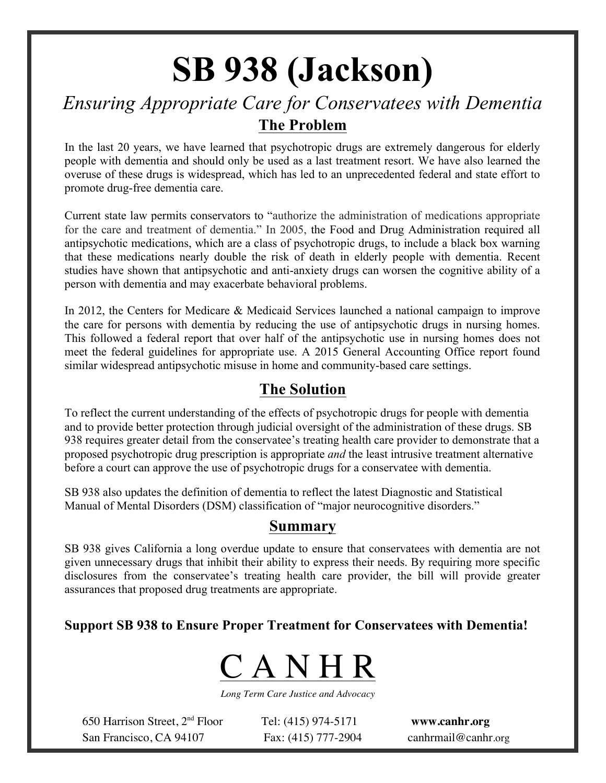# **SB 938 (Jackson)**

# *Ensuring Appropriate Care for Conservatees with Dementia* **The Problem**

In the last 20 years, we have learned that psychotropic drugs are extremely dangerous for elderly people with dementia and should only be used as a last treatment resort. We have also learned the overuse of these drugs is widespread, which has led to an unprecedented federal and state effort to promote drug-free dementia care.

Current state law permits conservators to "authorize the administration of medications appropriate for the care and treatment of dementia." In 2005, the Food and Drug Administration required all antipsychotic medications, which are a class of psychotropic drugs, to include a black box warning that these medications nearly double the risk of death in elderly people with dementia. Recent studies have shown that antipsychotic and anti-anxiety drugs can worsen the cognitive ability of a person with dementia and may exacerbate behavioral problems.

In 2012, the Centers for Medicare & Medicaid Services launched a national campaign to improve the care for persons with dementia by reducing the use of antipsychotic drugs in nursing homes. This followed a federal report that over half of the antipsychotic use in nursing homes does not meet the federal guidelines for appropriate use. A 2015 General Accounting Office report found similar widespread antipsychotic misuse in home and community-based care settings.

### **The Solution**

To reflect the current understanding of the effects of psychotropic drugs for people with dementia and to provide better protection through judicial oversight of the administration of these drugs. SB 938 requires greater detail from the conservatee's treating health care provider to demonstrate that a proposed psychotropic drug prescription is appropriate *and* the least intrusive treatment alternative before a court can approve the use of psychotropic drugs for a conservatee with dementia.

SB 938 also updates the definition of dementia to reflect the latest Diagnostic and Statistical Manual of Mental Disorders (DSM) classification of "major neurocognitive disorders."

#### **Summary**

SB 938 gives California a long overdue update to ensure that conservatees with dementia are not given unnecessary drugs that inhibit their ability to express their needs. By requiring more specific disclosures from the conservatee's treating health care provider, the bill will provide greater assurances that proposed drug treatments are appropriate.

#### **Support SB 938 to Ensure Proper Treatment for Conservatees with Dementia!**



*Long Term Care Justice and Advocacy*

650 Harrison Street, 2nd Floor Tel: (415) 974-5171 **www.canhr.org** San Francisco, CA 94107 Fax: (415) 777-2904 canhrmail@canhr.org

Tel: (415) 974-5171<br>Fax: (415) 777-2904